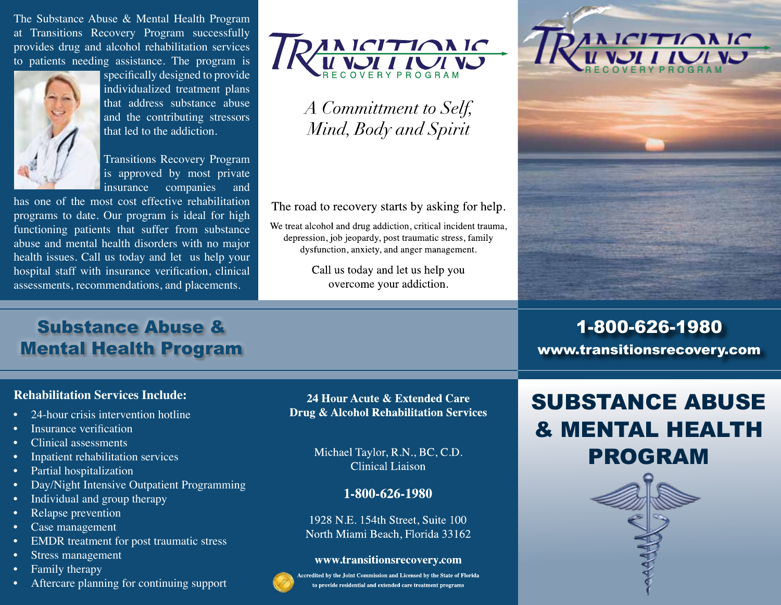The Substance Abuse & Mental Health Program at Transitions Recovery Program successfully provides drug and alcohol rehabilitation services to patients needing assistance. The program is



specifically designed to provide individualized treatment plans that address substance abuse and the contributing stressors that led to the addiction.

Transitions Recovery Program is approved by most private insurance companies and

has one of the most cost effective rehabilitation programs to date. Our program is ideal for high functioning patients that suffer from substance abuse and mental health disorders with no major health issues. Call us today and let us help your hospital staff with insurance verification, clinical



A Committment to Self, Mind, Body and Spirit

The road to recovery starts by asking for help.

We treat alcohol and drug addiction, critical incident trauma, depression, job jeopardy, post traumatic stress, family dysfunction, anxiety, and anger management.

> Call us today and let us help you overcome your addiction.



# **Substance Abuse & Health P** assessments, recommendations, and placements.<br>
Substance Abuse &<br>
Mental Health Program<br>
Rehabilitation Services Include:<br>
• 24-hour crisis intervention hotline Mental Health Program

### **Rehabilitation Services Include:**

- 
- **Insurance verification**
- Clinical assessments
- Inpatient rehabilitation services
- Partial hospitalization
- Day/Night Intensive Outpatient Programming
- Individual and group therapy
- Relapse prevention
- Case management
- EMDR treatment for post traumatic stress
- Stress management
- Family therapy
- Aftercare planning for continuing support

24 Hour Acute & Extended Care **Drug & Alcohol Rehabilitation Services** 

> Michael Taylor, R.N., BC, C.D. **Clinical Liaison**

> > 1-800-626-1980

1928 N.E. 154th Street, Suite 100 North Miami Beach, Florida 33162

#### www.transitionsrecovery.com

ccredited by the Joint Commission and Licensed by the State of Florida to provide residential and extended care treatment programs

## SUBSTANCE ABUSE & MENTAL HEALTH PROGRAM

1-800-626-1980

www.transitionsrecovery.com